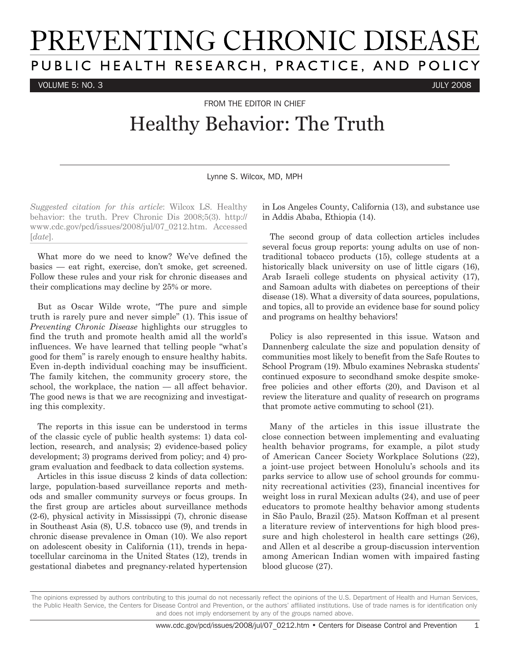## PREVENTING CHRONIC DISEASE PUBLIC HEALTH RESEARCH, PRACTICE, AND POLICY

VOLUME 5: NO. 3 JULY 2008

FROM THE FDITOR IN CHIFF

## Healthy Behavior: The Truth

Lynne S. Wilcox, MD, MPH

*Suggested citation for this article*: Wilcox LS. Healthy behavior: the truth. Prev Chronic Dis 2008;5(3). http:// www.cdc.gov/pcd/issues/2008/jul/07\_0212.htm. Accessed [*date*].

What more do we need to know? We've defined the basics — eat right, exercise, don't smoke, get screened. Follow these rules and your risk for chronic diseases and their complications may decline by 25% or more.

But as Oscar Wilde wrote, "The pure and simple truth is rarely pure and never simple" (1). This issue of *Preventing Chronic Disease* highlights our struggles to find the truth and promote health amid all the world's influences. We have learned that telling people "what's good for them" is rarely enough to ensure healthy habits. Even in-depth individual coaching may be insufficient. The family kitchen, the community grocery store, the school, the workplace, the nation — all affect behavior. The good news is that we are recognizing and investigating this complexity.

The reports in this issue can be understood in terms of the classic cycle of public health systems: 1) data collection, research, and analysis; 2) evidence-based policy development; 3) programs derived from policy; and 4) program evaluation and feedback to data collection systems.

Articles in this issue discuss 2 kinds of data collection: large, population-based surveillance reports and methods and smaller community surveys or focus groups. In the first group are articles about surveillance methods (2-6), physical activity in Mississippi (7), chronic disease in Southeast Asia (8), U.S. tobacco use (9), and trends in chronic disease prevalence in Oman (10). We also report on adolescent obesity in California (11), trends in hepatocellular carcinoma in the United States (12), trends in gestational diabetes and pregnancy-related hypertension in Los Angeles County, California (13), and substance use in Addis Ababa, Ethiopia (14).

The second group of data collection articles includes several focus group reports: young adults on use of nontraditional tobacco products (15), college students at a historically black university on use of little cigars  $(16)$ , Arab Israeli college students on physical activity (17), and Samoan adults with diabetes on perceptions of their disease (18). What a diversity of data sources, populations, and topics, all to provide an evidence base for sound policy and programs on healthy behaviors!

Policy is also represented in this issue. Watson and Dannenberg calculate the size and population density of communities most likely to benefit from the Safe Routes to School Program (19). Mbulo examines Nebraska students' continued exposure to secondhand smoke despite smokefree policies and other efforts (20), and Davison et al review the literature and quality of research on programs that promote active commuting to school (21).

Many of the articles in this issue illustrate the close connection between implementing and evaluating health behavior programs, for example, a pilot study of American Cancer Society Workplace Solutions (22), a joint-use project between Honolulu's schools and its parks service to allow use of school grounds for community recreational activities (23), financial incentives for weight loss in rural Mexican adults (24), and use of peer educators to promote healthy behavior among students in São Paulo, Brazil (25). Matson Koffman et al present a literature review of interventions for high blood pressure and high cholesterol in health care settings (26), and Allen et al describe a group-discussion intervention among American Indian women with impaired fasting blood glucose (27).

The opinions expressed by authors contributing to this journal do not necessarily reflect the opinions of the U.S. Department of Health and Human Services, the Public Health Service, the Centers for Disease Control and Prevention, or the authors' affiliated institutions. Use of trade names is for identification only and does not imply endorsement by any of the groups named above.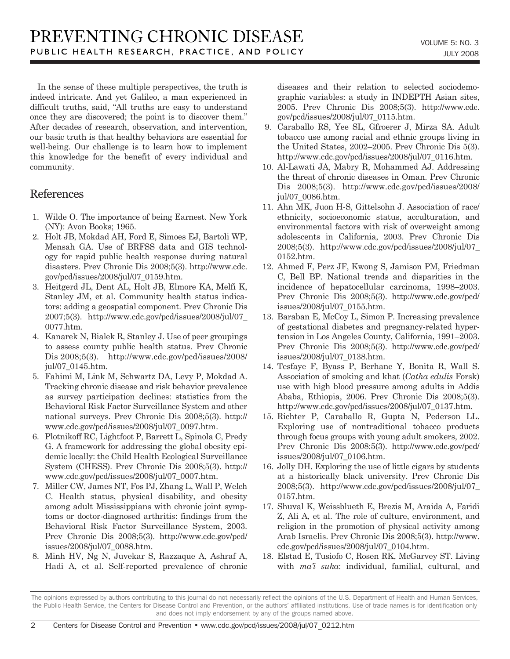In the sense of these multiple perspectives, the truth is indeed intricate. And yet Galileo, a man experienced in difficult truths, said, "All truths are easy to understand once they are discovered; the point is to discover them." After decades of research, observation, and intervention, our basic truth is that healthy behaviors are essential for well-being. Our challenge is to learn how to implement this knowledge for the benefit of every individual and community.

## References

- 1. Wilde O. The importance of being Earnest. New York (NY): Avon Books; 1965.
- 2. Holt JB, Mokdad AH, Ford E, Simoes EJ, Bartoli WP, Mensah GA. Use of BRFSS data and GIS technology for rapid public health response during natural disasters. Prev Chronic Dis 2008;5(3). http://www.cdc. gov/pcd/issues/2008/jul/07\_0159.htm.
- 3. Heitgerd JL, Dent AL, Holt JB, Elmore KA, Melfi K, Stanley JM, et al. Community health status indicators: adding a geospatial component. Prev Chronic Dis 2007;5(3). http://www.cdc.gov/pcd/issues/2008/jul/07\_ 0077.htm.
- 4. Kanarek N, Bialek R, Stanley J. Use of peer groupings to assess county public health status. Prev Chronic Dis 2008;5(3). http://www.cdc.gov/pcd/issues/2008/ jul/07\_0145.htm.
- 5. Fahimi M, Link M, Schwartz DA, Levy P, Mokdad A. Tracking chronic disease and risk behavior prevalence as survey participation declines: statistics from the Behavioral Risk Factor Surveillance System and other national surveys. Prev Chronic Dis 2008;5(3). http:// www.cdc.gov/pcd/issues/2008/jul/07\_0097.htm.
- 6. Plotnikoff RC, Lightfoot P, Barrett L, Spinola C, Predy G. A framework for addressing the global obesity epidemic locally: the Child Health Ecological Surveillance System (CHESS). Prev Chronic Dis 2008;5(3). http:// www.cdc.gov/pcd/issues/2008/jul/07\_0007.htm.
- 7. Miller CW, James NT, Fos PJ, Zhang L, Wall P, Welch C. Health status, physical disability, and obesity among adult Mississippians with chronic joint symptoms or doctor-diagnosed arthritis: findings from the Behavioral Risk Factor Surveillance System, 2003. Prev Chronic Dis 2008;5(3). http://www.cdc.gov/pcd/ issues/2008/jul/07\_0088.htm.
- 8. Minh HV, Ng N, Juvekar S, Razzaque A, Ashraf A, Hadi A, et al. Self-reported prevalence of chronic

diseases and their relation to selected sociodemographic variables: a study in INDEPTH Asian sites, 2005. Prev Chronic Dis 2008;5(3). http://www.cdc. gov/pcd/issues/2008/jul/07\_0115.htm.

- 9. Caraballo RS, Yee SL, Gfroerer J, Mirza SA. Adult tobacco use among racial and ethnic groups living in the United States, 2002–2005. Prev Chronic Dis 5(3). http://www.cdc.gov/pcd/issues/2008/jul/07\_0116.htm.
- 10. Al-Lawati JA, Mabry R, Mohammed AJ. Addressing the threat of chronic diseases in Oman. Prev Chronic Dis 2008;5(3). http://www.cdc.gov/pcd/issues/2008/ jul/07\_0086.htm.
- 11. Ahn MK, Juon H-S, Gittelsohn J. Association of race/ ethnicity, socioeconomic status, acculturation, and environmental factors with risk of overweight among adolescents in California, 2003. Prev Chronic Dis 2008;5(3). http://www.cdc.gov/pcd/issues/2008/jul/07\_ 0152.htm.
- 12. Ahmed F, Perz JF, Kwong S, Jamison PM, Friedman C, Bell BP. National trends and disparities in the incidence of hepatocellular carcinoma, 1998–2003. Prev Chronic Dis 2008;5(3). http://www.cdc.gov/pcd/ issues/2008/jul/07\_0155.htm.
- 13. Baraban E, McCoy L, Simon P. Increasing prevalence of gestational diabetes and pregnancy-related hypertension in Los Angeles County, California, 1991–2003. Prev Chronic Dis 2008;5(3). http://www.cdc.gov/pcd/ issues/2008/jul/07\_0138.htm.
- 14. Tesfaye F, Byass P, Berhane Y, Bonita R, Wall S. Association of smoking and khat (*Catha edulis* Forsk) use with high blood pressure among adults in Addis Ababa, Ethiopia, 2006. Prev Chronic Dis 2008;5(3). http://www.cdc.gov/pcd/issues/2008/jul/07\_0137.htm.
- 15. Richter P, Caraballo R, Gupta N, Pederson LL. Exploring use of nontraditional tobacco products through focus groups with young adult smokers, 2002. Prev Chronic Dis 2008:5(3). http://www.cdc.gov/pcd/ issues/2008/jul/07\_0106.htm.
- 16. Jolly DH. Exploring the use of little cigars by students at a historically black university. Prev Chronic Dis 2008;5(3). http://www.cdc.gov/pcd/issues/2008/jul/07\_ 0157.htm.
- 17. Shuval K, Weissblueth E, Brezis M, Araida A, Faridi Z, Ali A, et al. The role of culture, environment, and religion in the promotion of physical activity among Arab Israelis. Prev Chronic Dis 2008;5(3). http://www. cdc.gov/pcd/issues/2008/jul/07\_0104.htm.
- 18. Elstad E, Tusiofo C, Rosen RK, McGarvey ST. Living with *ma'i suka*: individual, familial, cultural, and

The opinions expressed by authors contributing to this journal do not necessarily reflect the opinions of the U.S. Department of Health and Human Services, the Public Health Service, the Centers for Disease Control and Prevention, or the authors' affiliated institutions. Use of trade names is for identification only and does not imply endorsement by any of the groups named above.